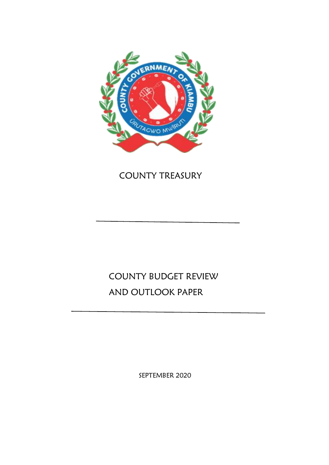

# COUNTY TREASURY

# COUNTY BUDGET REVIEW AND OUTLOOK PAPER

SEPTEMBER 2020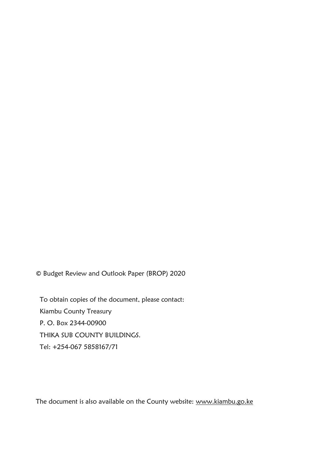© Budget Review and Outlook Paper (BROP) 2020

To obtain copies of the document, please contact: Kiambu County Treasury P. O. Box 2344-00900 THIKA SUB COUNTY BUILDINGS. Tel: +254-067 5858167/71

The document is also available on the County website: www.kiambu.go.ke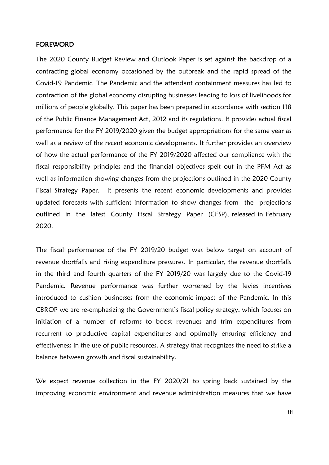#### <span id="page-2-0"></span>FOREWORD

The 2020 County Budget Review and Outlook Paper is set against the backdrop of a contracting global economy occasioned by the outbreak and the rapid spread of the Covid-19 Pandemic. The Pandemic and the attendant containment measures has led to contraction of the global economy disrupting businesses leading to loss of livelihoods for millions of people globally. This paper has been prepared in accordance with section 118 of the Public Finance Management Act, 2012 and its regulations. It provides actual fiscal performance for the FY 2019/2020 given the budget appropriations for the same year as well as a review of the recent economic developments. It further provides an overview of how the actual performance of the FY 2019/2020 affected our compliance with the fiscal responsibility principles and the financial objectives spelt out in the PFM Act as well as information showing changes from the projections outlined in the 2020 County Fiscal Strategy Paper. It presents the recent economic developments and provides updated forecasts with sufficient information to show changes from the projections outlined in the latest County Fiscal Strategy Paper (CFSP), released in February 2020.

The fiscal performance of the FY 2019/20 budget was below target on account of revenue shortfalls and rising expenditure pressures. In particular, the revenue shortfalls in the third and fourth quarters of the FY 2019/20 was largely due to the Covid-19 Pandemic. Revenue performance was further worsened by the levies incentives introduced to cushion businesses from the economic impact of the Pandemic. In this CBROP we are re-emphasizing the Government's fiscal policy strategy, which focuses on initiation of a number of reforms to boost revenues and trim expenditures from recurrent to productive capital expenditures and optimally ensuring efficiency and effectiveness in the use of public resources. A strategy that recognizes the need to strike a balance between growth and fiscal sustainability.

We expect revenue collection in the FY 2020/21 to spring back sustained by the improving economic environment and revenue administration measures that we have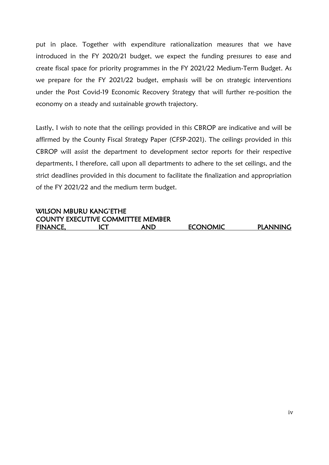put in place. Together with expenditure rationalization measures that we have introduced in the FY 2020/21 budget, we expect the funding pressures to ease and create fiscal space for priority programmes in the FY 2021/22 Medium-Term Budget. As we prepare for the FY 2021/22 budget, emphasis will be on strategic interventions under the Post Covid-19 Economic Recovery Strategy that will further re-position the economy on a steady and sustainable growth trajectory.

Lastly, I wish to note that the ceilings provided in this CBROP are indicative and will be affirmed by the County Fiscal Strategy Paper (CFSP-2021). The ceilings provided in this CBROP will assist the department to development sector reports for their respective departments, I therefore, call upon all departments to adhere to the set ceilings, and the strict deadlines provided in this document to facilitate the finalization and appropriation of the FY 2021/22 and the medium term budget.

#### WILSON MBURU KANG'ETHE COUNTY EXECUTIVE COMMITTEE MEMBER FINANCE, ICT AND ECONOMIC PLANNING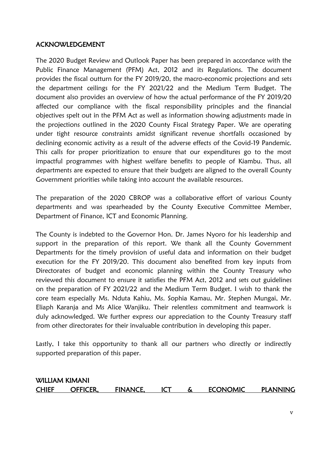### <span id="page-4-0"></span>ACKNOWLEDGEMENT

The 2020 Budget Review and Outlook Paper has been prepared in accordance with the Public Finance Management (PFM) Act, 2012 and its Regulations. The document provides the fiscal outturn for the FY 2019/20, the macro-economic projections and sets the department ceilings for the FY 2021/22 and the Medium Term Budget. The document also provides an overview of how the actual performance of the FY 2019/20 affected our compliance with the fiscal responsibility principles and the financial objectives spelt out in the PFM Act as well as information showing adjustments made in the projections outlined in the 2020 County Fiscal Strategy Paper. We are operating under tight resource constraints amidst significant revenue shortfalls occasioned by declining economic activity as a result of the adverse effects of the Covid-19 Pandemic. This calls for proper prioritization to ensure that our expenditures go to the most impactful programmes with highest welfare benefits to people of Kiambu. Thus, all departments are expected to ensure that their budgets are aligned to the overall County Government priorities while taking into account the available resources.

The preparation of the 2020 CBROP was a collaborative effort of various County departments and was spearheaded by the County Executive Committee Member, Department of Finance, ICT and Economic Planning.

The County is indebted to the Governor Hon. Dr. James Nyoro for his leadership and support in the preparation of this report. We thank all the County Government Departments for the timely provision of useful data and information on their budget execution for the FY 2019/20. This document also benefited from key inputs from Directorates of budget and economic planning within the County Treasury who reviewed this document to ensure it satisfies the PFM Act, 2012 and sets out guidelines on the preparation of FY 2021/22 and the Medium Term Budget. I wish to thank the core team especially Ms. Nduta Kahiu, Ms. Sophia Kamau, Mr. Stephen Mungai, Mr. Eliaph Karanja and Ms Alice Wanjiku. Their relentless commitment and teamwork is duly acknowledged. We further express our appreciation to the County Treasury staff from other directorates for their invaluable contribution in developing this paper.

Lastly, I take this opportunity to thank all our partners who directly or indirectly supported preparation of this paper.

### WILLIAM KIMANI CHIEF OFFICER, FINANCE, ICT & ECONOMIC PLANNING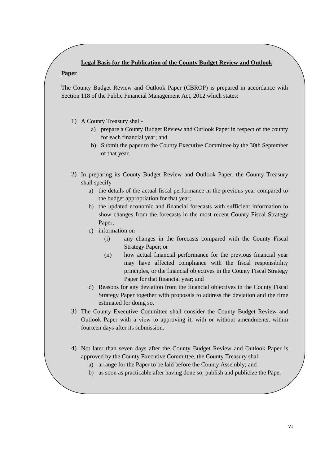#### **Legal Basis for the Publication of the County Budget Review and Outlook**

#### **Paper**

The County Budget Review and Outlook Paper (CBROP) is prepared in accordance with Section 118 of the Public Financial Management Act, 2012 which states:

- 1) A County Treasury shall
	- a) prepare a County Budget Review and Outlook Paper in respect of the county for each financial year; and
	- b) Submit the paper to the County Executive Committee by the 30th September of that year.
- 2) In preparing its County Budget Review and Outlook Paper, the County Treasury shall specify
	- a) the details of the actual fiscal performance in the previous year compared to the budget appropriation for that year;
	- b) the updated economic and financial forecasts with sufficient information to show changes from the forecasts in the most recent County Fiscal Strategy Paper;
	- c) information on—
		- (i) any changes in the forecasts compared with the County Fiscal Strategy Paper; or
		- (ii) how actual financial performance for the previous financial year may have affected compliance with the fiscal responsibility principles, or the financial objectives in the County Fiscal Strategy Paper for that financial year; and
	- d) Reasons for any deviation from the financial objectives in the County Fiscal Strategy Paper together with proposals to address the deviation and the time estimated for doing so.
- 3) The County Executive Committee shall consider the County Budget Review and Outlook Paper with a view to approving it, with or without amendments, within fourteen days after its submission.
- 4) Not later than seven days after the County Budget Review and Outlook Paper is approved by the County Executive Committee, the County Treasury shall
	- a) arrange for the Paper to be laid before the County Assembly; and
	- b) as soon as practicable after having done so, publish and publicize the Paper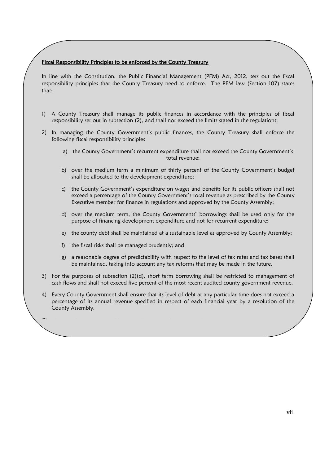#### Fiscal Responsibility Principles to be enforced by the County Treasury

In line with the Constitution, the Public Financial Management (PFM) Act, 2012, sets out the fiscal responsibility principles that the County Treasury need to enforce. The PFM law (Section 107) states that:

- 1) A County Treasury shall manage its public finances in accordance with the principles of fiscal responsibility set out in subsection (2), and shall not exceed the limits stated in the regulations.
- 2) In managing the County Government's public finances, the County Treasury shall enforce the following fiscal responsibility principles
	- a) the County Government's recurrent expenditure shall not exceed the County Government's total revenue;
	- b) over the medium term a minimum of thirty percent of the County Government's budget shall be allocated to the development expenditure;
	- c) the County Government's expenditure on wages and benefits for its public officers shall not exceed a percentage of the County Government's total revenue as prescribed by the County Executive member for finance in regulations and approved by the County Assembly;
	- d) over the medium term, the County Governments' borrowings shall be used only for the purpose of financing development expenditure and not for recurrent expenditure;
	- e) the county debt shall be maintained at a sustainable level as approved by County Assembly;
	- f) the fiscal risks shall be managed prudently; and
	- g) a reasonable degree of predictability with respect to the level of tax rates and tax bases shall be maintained, taking into account any tax reforms that may be made in the future.
- 3) For the purposes of subsection (2)(d), short term borrowing shall be restricted to management of cash flows and shall not exceed five percent of the most recent audited county government revenue.
- 4) Every County Government shall ensure that its level of debt at any particular time does not exceed a percentage of its annual revenue specified in respect of each financial year by a resolution of the County Assembly.

 $\mathbf{S}$ ) the regulations may add to the list of fiscal responsibility principles set out in subsections set out in subsections  $\mathbf{S}$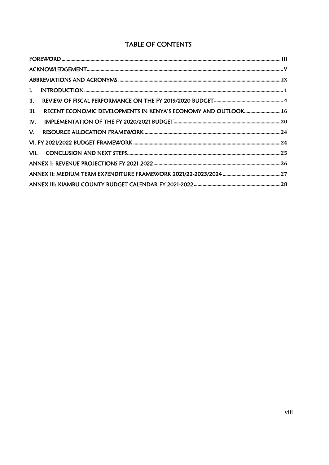### TABLE OF CONTENTS

| II.                                                                    |  |
|------------------------------------------------------------------------|--|
| RECENT ECONOMIC DEVELOPMENTS IN KENYA'S ECONOMY AND OUTLOOK 16<br>III. |  |
| IV.                                                                    |  |
|                                                                        |  |
|                                                                        |  |
|                                                                        |  |
|                                                                        |  |
|                                                                        |  |
|                                                                        |  |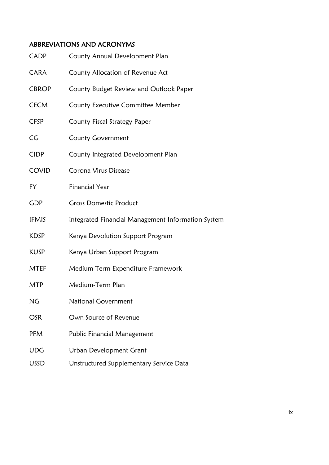### <span id="page-8-0"></span>ABBREVIATIONS AND ACRONYMS

| <b>CADP</b>     | County Annual Development Plan                     |
|-----------------|----------------------------------------------------|
| <b>CARA</b>     | County Allocation of Revenue Act                   |
| <b>CBROP</b>    | County Budget Review and Outlook Paper             |
| <b>CECM</b>     | <b>County Executive Committee Member</b>           |
| <b>CFSP</b>     | County Fiscal Strategy Paper                       |
| $\overline{C}G$ | <b>County Government</b>                           |
| <b>CIDP</b>     | County Integrated Development Plan                 |
| COVID           | Corona Virus Disease                               |
| FY              | <b>Financial Year</b>                              |
| <b>GDP</b>      | <b>Gross Domestic Product</b>                      |
| <b>IFMIS</b>    | Integrated Financial Management Information System |
| <b>KDSP</b>     | Kenya Devolution Support Program                   |
| <b>KUSP</b>     | Kenya Urban Support Program                        |
| <b>MTEF</b>     | Medium Term Expenditure Framework                  |
| <b>MTP</b>      | Medium-Term Plan                                   |
| <b>NG</b>       | <b>National Government</b>                         |
| <b>OSR</b>      | Own Source of Revenue                              |
| PFM             | Public Financial Management                        |
| <b>UDG</b>      | <b>Urban Development Grant</b>                     |
| <b>USSD</b>     | Unstructured Supplementary Service Data            |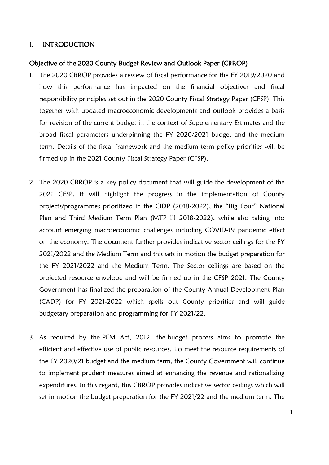#### <span id="page-9-0"></span>I. INTRODUCTION

#### Objective of the 2020 County Budget Review and Outlook Paper (CBROP)

- 1. The 2020 CBROP provides a review of fiscal performance for the FY 2019/2020 and how this performance has impacted on the financial objectives and fiscal responsibility principles set out in the 2020 County Fiscal Strategy Paper (CFSP). This together with updated macroeconomic developments and outlook provides a basis for revision of the current budget in the context of Supplementary Estimates and the broad fiscal parameters underpinning the FY 2020/2021 budget and the medium term. Details of the fiscal framework and the medium term policy priorities will be firmed up in the 2021 County Fiscal Strategy Paper (CFSP).
- 2. The 2020 CBROP is a key policy document that will guide the development of the 2021 CFSP. It will highlight the progress in the implementation of County projects/programmes prioritized in the CIDP (2018-2022), the "Big Four" National Plan and Third Medium Term Plan (MTP III 2018-2022), while also taking into account emerging macroeconomic challenges including COVID-19 pandemic effect on the economy. The document further provides indicative sector ceilings for the FY 2021/2022 and the Medium Term and this sets in motion the budget preparation for the FY 2021/2022 and the Medium Term. The Sector ceilings are based on the projected resource envelope and will be firmed up in the CFSP 2021. The County Government has finalized the preparation of the County Annual Development Plan (CADP) for FY 2021-2022 which spells out County priorities and will guide budgetary preparation and programming for FY 2021/22.
- 3. As required by the PFM Act, 2012, the budget process aims to promote the efficient and effective use of public resources. To meet the resource requirements of the FY 2020/21 budget and the medium term, the County Government will continue to implement prudent measures aimed at enhancing the revenue and rationalizing expenditures. In this regard, this CBROP provides indicative sector ceilings which will set in motion the budget preparation for the FY 2021/22 and the medium term. The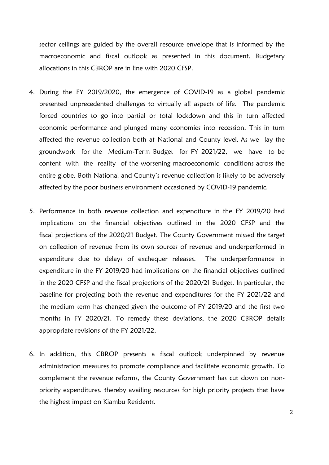sector ceilings are guided by the overall resource envelope that is informed by the macroeconomic and fiscal outlook as presented in this document. Budgetary allocations in this CBROP are in line with 2020 CFSP.

- 4. During the FY 2019/2020, the emergence of COVID-19 as a global pandemic presented unprecedented challenges to virtually all aspects of life. The pandemic forced countries to go into partial or total lockdown and this in turn affected economic performance and plunged many economies into recession. This in turn affected the revenue collection both at National and County level. As we lay the groundwork for the Medium-Term Budget for FY 2021/22, we have to be content with the reality of the worsening macroeconomic conditions across the entire globe. Both National and County's revenue collection is likely to be adversely affected by the poor business environment occasioned by COVID-19 pandemic.
- 5. Performance in both revenue collection and expenditure in the FY 2019/20 had implications on the financial objectives outlined in the 2020 CFSP and the fiscal projections of the 2020/21 Budget. The County Government missed the target on collection of revenue from its own sources of revenue and underperformed in expenditure due to delays of exchequer releases. The underperformance in expenditure in the FY 2019/20 had implications on the financial objectives outlined in the 2020 CFSP and the fiscal projections of the 2020/21 Budget. In particular, the baseline for projecting both the revenue and expenditures for the FY 2021/22 and the medium term has changed given the outcome of FY 2019/20 and the first two months in FY 2020/21. To remedy these deviations, the 2020 CBROP details appropriate revisions of the FY 2021/22.
- 6. In addition, this CBROP presents a fiscal outlook underpinned by revenue administration measures to promote compliance and facilitate economic growth. To complement the revenue reforms, the County Government has cut down on nonpriority expenditures, thereby availing resources for high priority projects that have the highest impact on Kiambu Residents.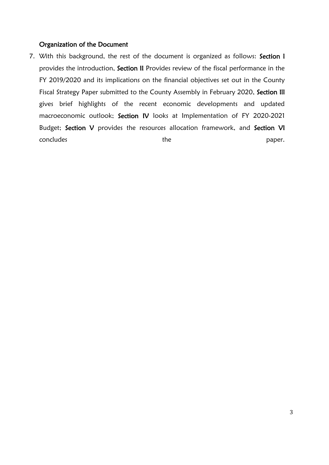#### Organization of the Document

7. With this background, the rest of the document is organized as follows: Section I provides the introduction, Section II Provides review of the fiscal performance in the FY 2019/2020 and its implications on the financial objectives set out in the County Fiscal Strategy Paper submitted to the County Assembly in February 2020, Section Ill gives brief highlights of the recent economic developments and updated macroeconomic outlook; Section IV looks at Implementation of FY 2020-2021 Budget; Section V provides the resources allocation framework, and Section VI concludes each concludes the paper.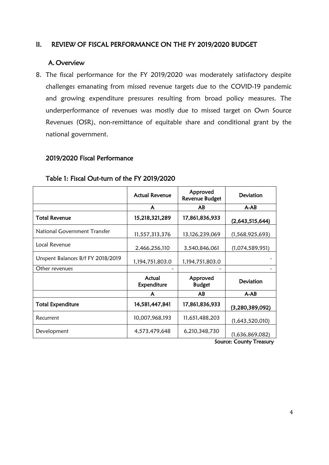#### <span id="page-12-0"></span>II. REVIEW OF FISCAL PERFORMANCE ON THE FY 2019/2020 BUDGET

#### A. Overview

8. The fiscal performance for the FY 2019/2020 was moderately satisfactory despite challenges emanating from missed revenue targets due to the COVID-19 pandemic and growing expenditure pressures resulting from broad policy measures. The underperformance of revenues was mostly due to missed target on Own Source Revenues (OSR), non-remittance of equitable share and conditional grant by the national government.

#### 2019/2020 Fiscal Performance

|                                     | <b>Actual Revenue</b> | Approved<br><b>Revenue Budget</b> | Deviation          |
|-------------------------------------|-----------------------|-----------------------------------|--------------------|
|                                     | A                     | AB                                | $A-AB$             |
| <b>Total Revenue</b>                | 15,218,321,289        | 17,861,836,933                    | (2,643,515,644)    |
| <b>National Government Transfer</b> | 11,557,313,376        | 13,126,239,069                    | (1, 568, 925, 693) |
| Local Revenue                       | 2,466,256,110         | 3,540,846,061                     | (1,074,589,951)    |
| Unspent Balances B/f FY 2018/2019   | 1,194,751,803.0       | 1,194,751,803.0                   |                    |
| Other revenues                      |                       |                                   |                    |
|                                     | Actual<br>Expenditure | Approved<br><b>Budget</b>         | Deviation          |
|                                     | A                     | AB                                | $A-AB$             |
| <b>Total Expenditure</b>            | 14,581,447,841        | 17,861,836,933                    | (3,280,389,092)    |
| Recurrent                           | 10,007,968,193        | 11,651,488,203                    | (1,643,520,010)    |
| Development                         | 4,573,479,648         | 6,210,348,730                     | (1,636,869,082)    |

### Table 1: Fiscal Out-turn of the FY 2019/2020

Source: County Treasury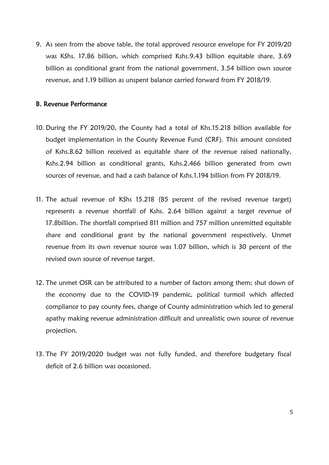9. As seen from the above table, the total approved resource envelope for FY 2019/20 was KShs. 17.86 billion, which comprised Kshs.9.43 billion equitable share, 3.69 billion as conditional grant from the national government, 3.54 billion own source revenue, and 1.19 billion as unspent balance carried forward from FY 2018/19.

#### B. Revenue Performance

- 10. During the FY 2019/20, the County had a total of Khs.15.218 billion available for budget implementation in the County Revenue Fund (CRF). This amount consisted of Kshs.8.62 billion received as equitable share of the revenue raised nationally, Kshs.2.94 billion as conditional grants, Kshs.2.466 billion generated from own sources of revenue, and had a cash balance of Kshs.1.194 billion from FY 2018/19.
- 11. The actual revenue of KShs 15.218 (85 percent of the revised revenue target) represents a revenue shortfall of Kshs. 2.64 billion against a target revenue of 17.8billion. The shortfall comprised 811 million and 757 million unremitted equitable share and conditional grant by the national government respectively. Unmet revenue from its own revenue source was 1.07 billion, which is 30 percent of the revised own source of revenue target.
- 12. The unmet OSR can be attributed to a number of factors among them; shut down of the economy due to the COVID-19 pandemic, political turmoil which affected compliance to pay county fees, change of County administration which led to general apathy making revenue administration difficult and unrealistic own source of revenue projection.
- 13. The FY 2019/2020 budget was not fully funded, and therefore budgetary fiscal deficit of 2.6 billion was occasioned.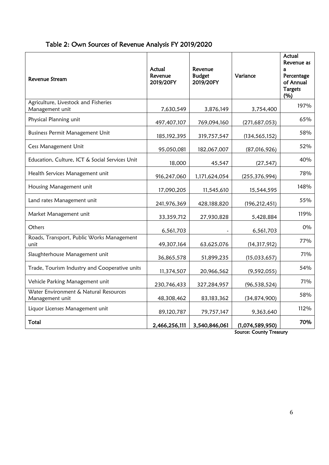| Table 2: Own Sources of Revenue Analysis FY 2019/2020 |  |  |  |  |
|-------------------------------------------------------|--|--|--|--|
|-------------------------------------------------------|--|--|--|--|

| Revenue Stream                                           | Actual<br>Revenue<br>2019/20FY | Revenue<br><b>Budget</b><br>2019/20FY | Variance        | Actual<br>Revenue as<br>a<br>Percentage<br>of Annual<br><b>Targets</b><br>(%) |
|----------------------------------------------------------|--------------------------------|---------------------------------------|-----------------|-------------------------------------------------------------------------------|
| Agriculture, Livestock and Fisheries<br>Management unit  | 7,630,549                      | 3,876,149                             | 3,754,400       | 197%                                                                          |
| Physical Planning unit                                   | 497, 407, 107                  | 769,094,160                           | (271, 687, 053) | 65%                                                                           |
| <b>Business Permit Management Unit</b>                   | 185, 192, 395                  | 319,757,547                           | (134, 565, 152) | 58%                                                                           |
| Cess Management Unit                                     | 95,050,081                     | 182,067,007                           | (87,016,926)    | 52%                                                                           |
| Education, Culture, ICT & Social Services Unit           | 18,000                         | 45,547                                | (27, 547)       | 40%                                                                           |
| Health Services Management unit                          | 916,247,060                    | 1,171,624,054                         | (255, 376, 994) | 78%                                                                           |
| Housing Management unit                                  | 17,090,205                     | 11,545,610                            | 15,544,595      | 148%                                                                          |
| Land rates Management unit                               | 241,976,369                    | 428,188,820                           | (196, 212, 451) | 55%                                                                           |
| Market Management unit                                   | 33,359,712                     | 27,930,828                            | 5,428,884       | 119%                                                                          |
| Others                                                   | 6,561,703                      |                                       | 6,561,703       | 0%                                                                            |
| Roads, Transport, Public Works Management<br>unit        | 49,307,164                     | 63,625,076                            | (14, 317, 912)  | 77%                                                                           |
| Slaughterhouse Management unit                           | 36,865,578                     | 51,899,235                            | (15,033,657)    | 71%                                                                           |
| Trade, Tourism Industry and Cooperative units            | 11,374,507                     | 20,966,562                            | (9, 592, 055)   | 54%                                                                           |
| Vehicle Parking Management unit                          | 230,746,433                    | 327,284,957                           | (96, 538, 524)  | 71%                                                                           |
| Water Environment & Natural Resources<br>Management unit | 48,308,462                     | 83, 183, 362                          | (34, 874, 900)  | 58%                                                                           |
| Liquor Licenses Management unit                          | 89,120,787                     | 79,757,147                            | 9,363,640       | 112%                                                                          |
| Total                                                    | 2,466,256,111                  | 3,540,846,061                         | (1,074,589,950) | 70%                                                                           |

Source: County Treasury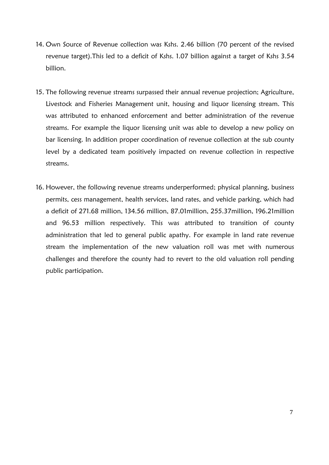- 14. Own Source of Revenue collection was Kshs. 2.46 billion (70 percent of the revised revenue target).This led to a deficit of Kshs. 1.07 billion against a target of Kshs 3.54 billion.
- 15. The following revenue streams surpassed their annual revenue projection; Agriculture, Livestock and Fisheries Management unit, housing and liquor licensing stream. This was attributed to enhanced enforcement and better administration of the revenue streams. For example the liquor licensing unit was able to develop a new policy on bar licensing. In addition proper coordination of revenue collection at the sub county level by a dedicated team positively impacted on revenue collection in respective streams.
- 16. However, the following revenue streams underperformed; physical planning, business permits, cess management, health services, land rates, and vehicle parking, which had a deficit of 271.68 million, 134.56 million, 87.01million, 255.37million, 196.21million and 96.53 million respectively. This was attributed to transition of county administration that led to general public apathy. For example in land rate revenue stream the implementation of the new valuation roll was met with numerous challenges and therefore the county had to revert to the old valuation roll pending public participation.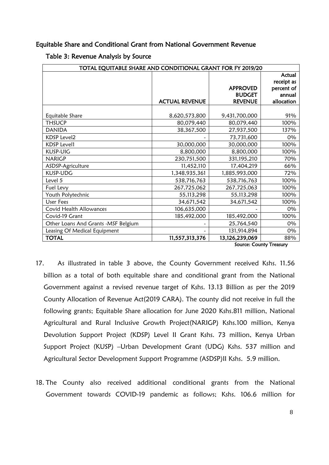#### Equitable Share and Conditional Grant from National Government Revenue

Table 3: Revenue Analysis by Source

| TOTAL EQUITABLE SHARE AND CONDITIONAL GRANT FOR FY 2019/20 |                       |                 |                                 |  |
|------------------------------------------------------------|-----------------------|-----------------|---------------------------------|--|
|                                                            |                       |                 | Actual                          |  |
|                                                            |                       |                 | receipt as                      |  |
|                                                            |                       | <b>APPROVED</b> | percent of                      |  |
|                                                            |                       | <b>BUDGET</b>   | annual                          |  |
|                                                            | <b>ACTUAL REVENUE</b> | <b>REVENUE</b>  | allocation                      |  |
|                                                            |                       |                 |                                 |  |
| Equitable Share                                            | 8,620,573,800         | 9,431,700,000   | 91%                             |  |
| <b>THSUCP</b>                                              | 80,079,440            | 80,079,440      | 100%                            |  |
| <b>DANIDA</b>                                              | 38,367,500            | 27,937,500      | 137%                            |  |
| <b>KDSP Level2</b>                                         |                       | 73,731,600      | 0%                              |  |
| <b>KDSP Level1</b>                                         | 30,000,000            | 30,000,000      | 100%                            |  |
| KUSP-UIG                                                   | 8,800,000             | 8,800,000       | 100%                            |  |
| <b>NARIGP</b>                                              | 230,751,500           | 331,195,210     | 70%                             |  |
| ASDSP-Agriculture                                          | 11,452,110            | 17,404,219      | 66%                             |  |
| KUSP-UDG                                                   | 1,348,935,361         | 1,885,993,000   | 72%                             |  |
| Level 5                                                    | 538,716,763           | 538,716,763     | 100%                            |  |
| Fuel Levy                                                  | 267,725,062           | 267,725,063     | 100%                            |  |
| Youth Polytechnic                                          | 55, 113, 298          | 55, 113, 298    | 100%                            |  |
| <b>User Fees</b>                                           | 34,671,542            | 34,671,542      | 100%                            |  |
| Covid Health Allowances                                    | 106,635,000           |                 | 0%                              |  |
| Covid-19 Grant                                             | 185,492,000           | 185,492,000     | 100%                            |  |
| Other Loans And Grants - MSF Belgium                       |                       | 25,764,540      | 0%                              |  |
| Leasing Of Medical Equipment                               |                       | 131,914,894     | 0%                              |  |
| <b>TOTAL</b>                                               | 11,557,313,376        | 13,126,239,069  | 88%<br>$\overline{\phantom{a}}$ |  |

Source: County Treasury

- 17. As illustrated in table 3 above, the County Government received Kshs. 11.56 billion as a total of both equitable share and conditional grant from the National Government against a revised revenue target of Kshs. 13.13 Billion as per the 2019 County Allocation of Revenue Act(2019 CARA). The county did not receive in full the following grants; Equitable Share allocation for June 2020 Kshs.811 million, National Agricultural and Rural Inclusive Growth Project(NARIGP) Kshs.100 million, Kenya Devolution Support Project (KDSP) Level II Grant Kshs. 73 million, Kenya Urban Support Project (KUSP) –Urban Development Grant (UDG) Kshs. 537 million and Agricultural Sector Development Support Programme (ASDSP)II Kshs. 5.9 million.
- 18. The County also received additional conditional grants from the National Government towards COVID-19 pandemic as follows; Kshs. 106.6 million for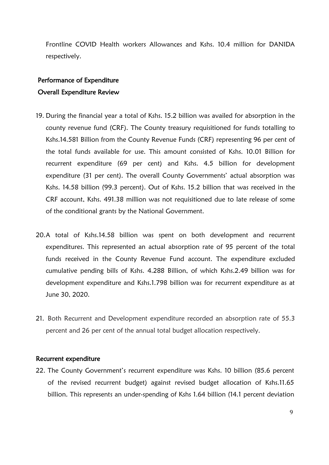Frontline COVID Health workers Allowances and Kshs. 10.4 million for DANIDA respectively.

#### Performance of Expenditure

### Overall Expenditure Review

- 19. During the financial year a total of Kshs. 15.2 billion was availed for absorption in the county revenue fund (CRF). The County treasury requisitioned for funds totalling to Kshs.14.581 Billion from the County Revenue Funds (CRF) representing 96 per cent of the total funds available for use. This amount consisted of Kshs. 10.01 Billion for recurrent expenditure (69 per cent) and Kshs. 4.5 billion for development expenditure (31 per cent). The overall County Governments' actual absorption was Kshs. 14.58 billion (99.3 percent). Out of Kshs. 15.2 billion that was received in the CRF account, Kshs. 491.38 million was not requisitioned due to late release of some of the conditional grants by the National Government.
- 20.A total of Kshs.14.58 billion was spent on both development and recurrent expenditures. This represented an actual absorption rate of 95 percent of the total funds received in the County Revenue Fund account. The expenditure excluded cumulative pending bills of Kshs. 4.288 Billion, of which Kshs.2.49 billion was for development expenditure and Kshs.1.798 billion was for recurrent expenditure as at June 30, 2020.
- 21. Both Recurrent and Development expenditure recorded an absorption rate of 55.3 percent and 26 per cent of the annual total budget allocation respectively.

#### Recurrent expenditure

22. The County Government's recurrent expenditure was Kshs. 10 billion (85.6 percent of the revised recurrent budget) against revised budget allocation of Kshs.11.65 billion. This represents an under-spending of Kshs 1.64 billion (14.1 percent deviation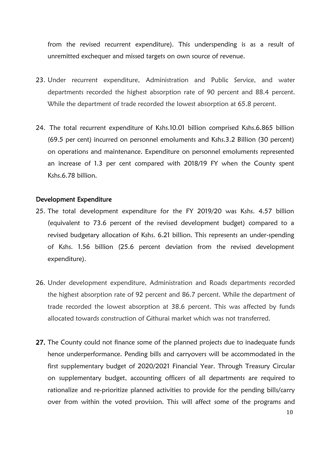from the revised recurrent expenditure). This underspending is as a result of unremitted exchequer and missed targets on own source of revenue.

- 23. Under recurrent expenditure, Administration and Public Service, and water departments recorded the highest absorption rate of 90 percent and 88.4 percent. While the department of trade recorded the lowest absorption at 65.8 percent.
- 24. The total recurrent expenditure of Kshs.10.01 billion comprised Kshs.6.865 billion (69.5 per cent) incurred on personnel emoluments and Kshs.3.2 Billion (30 percent) on operations and maintenance. Expenditure on personnel emoluments represented an increase of 1.3 per cent compared with 2018/19 FY when the County spent Kshs.6.78 billion.

#### Development Expenditure

- 25. The total development expenditure for the FY 2019/20 was Kshs. 4.57 billion (equivalent to 73.6 percent of the revised development budget) compared to a revised budgetary allocation of Kshs. 6.21 billion. This represents an under-spending of Kshs. 1.56 billion (25.6 percent deviation from the revised development expenditure).
- 26. Under development expenditure, Administration and Roads departments recorded the highest absorption rate of 92 percent and 86.7 percent. While the department of trade recorded the lowest absorption at 38.6 percent. This was affected by funds allocated towards construction of Githurai market which was not transferred.
- 27. The County could not finance some of the planned projects due to inadequate funds hence underperformance. Pending bills and carryovers will be accommodated in the first supplementary budget of 2020/2021 Financial Year. Through Treasury Circular on supplementary budget, accounting officers of all departments are required to rationalize and re-prioritize planned activities to provide for the pending bills/carry over from within the voted provision. This will affect some of the programs and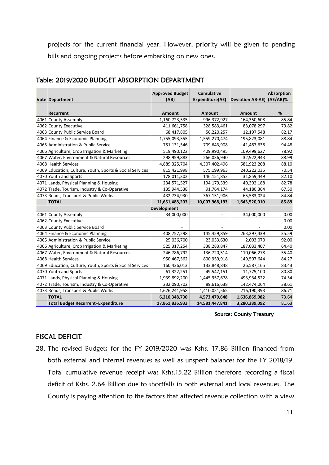projects for the current financial year. However, priority will be given to pending bills and ongoing projects before embarking on new ones.

| Vote Department                                          | <b>Approved Budget</b><br>(AB) | <b>Cumulative</b><br>Expenditure(AE) | Deviation AB-AE) (AE/AB)% | Absorption |
|----------------------------------------------------------|--------------------------------|--------------------------------------|---------------------------|------------|
|                                                          |                                |                                      |                           |            |
| Recurrent                                                | Amount                         | Amount                               | Amount                    | %          |
| 4061 County Assembly                                     | 1,160,723,535                  | 996,372,927                          | 164,350,608               | 85.84      |
| 4062 County Executive                                    | 411,661,758                    | 328,583,461                          | 83,078,297                | 79.82      |
| 4063 County Public Service Board                         | 68,417,805                     | 56,220,257                           | 12,197,548                | 82.17      |
| 4064 Finance & Economic Planning                         | 1,755,093,555                  | 1,559,270,474                        | 195,823,081               | 88.84      |
| 4065 Administration & Public Service                     | 751,131,546                    | 709,643,908                          | 41,487,638                | 94.48      |
| 4066 Agriculture, Crop Irrigation & Marketing            | 519,490,122                    | 409,990,495                          | 109,499,627               | 78.92      |
| 4067 Water, Environment & Natural Resources              | 298,959,883                    | 266,036,940                          | 32,922,943                | 88.99      |
| 4068 Health Services                                     | 4,889,325,704                  | 4,307,402,496                        | 581,923,208               | 88.10      |
| 4069 Education, Culture, Youth, Sports & Social Services | 815,421,998                    | 575,199,963                          | 240,222,035               | 70.54      |
| 4070 Youth and Sports                                    | 178,011,302                    | 146, 151, 853                        | 31,859,449                | 82.10      |
| 4071 Lands, Physical Planning & Housing                  | 234,571,527                    | 194,179,339                          | 40,392,188                | 82.78      |
| 4072 Trade, Tourism, Industry & Co-Operative             | 135,944,538                    | 91,764,174                           | 44,180,364                | 67.50      |
| 4073 Roads, Transport & Public Works                     | 432,734,930                    | 367,151,906                          | 65,583,024                | 84.84      |
| <b>TOTAL</b>                                             | 11,651,488,203                 | 10,007,968,193                       | 1,643,520,010             | 85.89      |
|                                                          | <b>Development</b>             |                                      |                           |            |
| 4061 County Assembly                                     | 34,000,000                     |                                      | 34,000,000                | 0.00       |
| 4062 County Executive                                    |                                |                                      |                           | 0.00       |
| 4063 County Public Service Board                         |                                |                                      |                           | 0.00       |
| 4064 Finance & Economic Planning                         | 408,757,298                    | 145,459,859                          | 263,297,439               | 35.59      |
| 4065 Administration & Public Service                     | 25,036,700                     | 23,033,630                           | 2,003,070                 | 92.00      |
| 4066 Agriculture, Crop Irrigation & Marketing            | 525,317,254                    | 338,283,847                          | 187,033,407               | 64.40      |
| 4067 Water, Environment & Natural Resources              | 246,786,792                    | 136,720,514                          | 110,066,278               | 55.40      |
| 4068 Health Services                                     | 950,467,562                    | 800,959,918                          | 149,507,644               | 84.27      |
| 4069 Education, Culture, Youth, Sports & Social Services | 160,436,013                    | 133,848,848                          | 26,587,165                | 83.43      |
| 4070 Youth and Sports                                    | 61,322,251                     | 49,547,151                           | 11,775,100                | 80.80      |
| 4071 Lands, Physical Planning & Housing                  | 1,939,892,200                  | 1,445,957,678                        | 493,934,522               | 74.54      |
| 4072 Trade, Tourism, Industry & Co-Operative             | 232,090,702                    | 89,616,638                           | 142,474,064               | 38.61      |
| 4073 Roads, Transport & Public Works                     | 1,626,241,958                  | 1,410,051,565                        | 216,190,393               | 86.71      |
| <b>TOTAL</b>                                             | 6,210,348,730                  | 4,573,479,648                        | 1,636,869,082             | 73.64      |
| <b>Total Budget Recurrent+Expenditure</b>                | 17,861,836,933                 | 14,581,447,841                       | 3,280,389,092             | 81.63      |

#### Table: 2019/2020 BUDGET ABSORPTION DEPARTMENT

#### Source: County Treasury

### FISCAL DEFICIT

28. The revised Budgets for the FY 2019/2020 was Kshs. 17.86 Billion financed from both external and internal revenues as well as unspent balances for the FY 2018/19. Total cumulative revenue receipt was Kshs.15.22 Billion therefore recording a fiscal deficit of Kshs. 2.64 Billion due to shortfalls in both external and local revenues. The County is paying attention to the factors that affected revenue collection with a view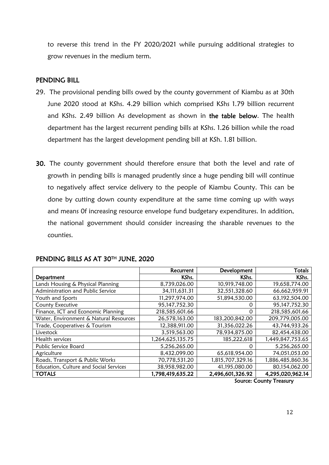to reverse this trend in the FY 2020/2021 while pursuing additional strategies to grow revenues in the medium term.

#### PENDING BILL

- 29. The provisional pending bills owed by the county government of Kiambu as at 30th June 2020 stood at KShs. 4.29 billion which comprised KShs 1.79 billion recurrent and KShs. 2.49 billion As development as shown in the table below. The health department has the largest recurrent pending bills at KShs. 1.26 billion while the road department has the largest development pending bill at KSh. 1.81 billion.
- 30. The county government should therefore ensure that both the level and rate of growth in pending bills is managed prudently since a huge pending bill will continue to negatively affect service delivery to the people of Kiambu County. This can be done by cutting down county expenditure at the same time coming up with ways and means 0f increasing resource envelope fund budgetary expenditures. In addition, the national government should consider increasing the sharable revenues to the counties.

|                                        | Recurrent        | Development      | Totals           |
|----------------------------------------|------------------|------------------|------------------|
| Department                             | KShs.            | KShs.            | KShs.            |
| Lands Housing & Physical Planning      | 8,739,026.00     | 10,919,748.00    | 19,658,774.00    |
| Administration and Public Service      | 34,111,631.31    | 32,551,328.60    | 66,662,959.91    |
| Youth and Sports                       | 11,297,974.00    | 51,894,530.00    | 63,192,504.00    |
| County Executive                       | 95,147,752.30    | 0                | 95,147,752.30    |
| Finance, ICT and Economic Planning     | 218,585,601.66   | 0                | 218,585,601.66   |
| Water, Environment & Natural Resources | 26,578,163.00    | 183,200,842.00   | 209,779,005.00   |
| Trade, Cooperatives & Tourism          | 12,388,911.00    | 31,356,022.26    | 43,744,933.26    |
| Livestock                              | 3,519,563.00     | 78,934,875.00    | 82,454,438.00    |
| Health services                        | 1,264,625,135.75 | 185,222,618      | 1,449,847,753.65 |
| Public Service Board                   | 5,256,265.00     | 0                | 5,256,265.00     |
| Agriculture                            | 8,432,099.00     | 65,618,954.00    | 74,051,053.00    |
| Roads, Transport & Public Works        | 70,778,531.20    | 1,815,707,329.16 | 1,886,485,860.36 |
| Education, Culture and Social Services | 38,958,982.00    | 41,195,080.00    | 80,154,062.00    |
| <b>TOTALS</b>                          | 1,798,419,635.22 | 2,496,601,326.92 | 4,295,020,962.14 |

#### PENDING BILLS AS AT 30TH JUNE, 2020

Source: County Treasury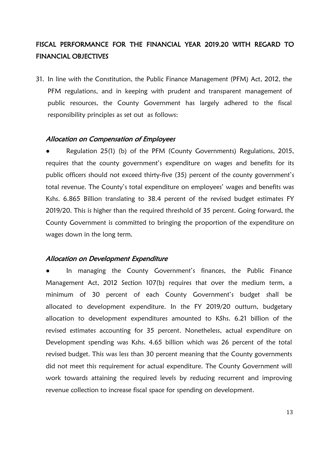### FISCAL PERFORMANCE FOR THE FINANCIAL YEAR 2019.20 WITH REGARD TO FINANCIAL OBJECTIVES

31. In line with the Constitution, the Public Finance Management (PFM) Act, 2012, the PFM regulations, and in keeping with prudent and transparent management of public resources, the County Government has largely adhered to the fiscal responsibility principles as set out as follows:

#### Allocation on Compensation of Employees

**●** Regulation 25(1) (b) of the PFM (County Governments) Regulations, 2015, requires that the county government's expenditure on wages and benefits for its public officers should not exceed thirty-five (35) percent of the county government's total revenue. The County's total expenditure on employees' wages and benefits was Kshs. 6.865 Billion translating to 38.4 percent of the revised budget estimates FY 2019/20. This is higher than the required threshold of 35 percent. Going forward, the County Government is committed to bringing the proportion of the expenditure on wages down in the long term.

#### Allocation on Development Expenditure

In managing the County Government's finances, the Public Finance Management Act, 2012 Section 107(b) requires that over the medium term, a minimum of 30 percent of each County Government's budget shall be allocated to development expenditure. In the FY 2019/20 outturn, budgetary allocation to development expenditures amounted to KShs. 6.21 billion of the revised estimates accounting for 35 percent. Nonetheless, actual expenditure on Development spending was Kshs. 4.65 billion which was 26 percent of the total revised budget. This was less than 30 percent meaning that the County governments did not meet this requirement for actual expenditure. The County Government will work towards attaining the required levels by reducing recurrent and improving revenue collection to increase fiscal space for spending on development.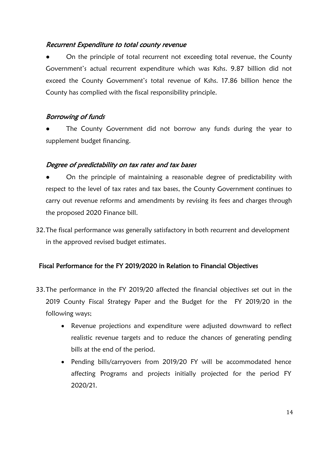### Recurrent Expenditure to total county revenue

On the principle of total recurrent not exceeding total revenue, the County Government's actual recurrent expenditure which was Kshs. 9.87 billion did not exceed the County Government's total revenue of Kshs. 17.86 billion hence the County has complied with the fiscal responsibility principle.

### Borrowing of funds

The County Government did not borrow any funds during the year to supplement budget financing.

### Degree of predictability on tax rates and tax bases

- On the principle of maintaining a reasonable degree of predictability with respect to the level of tax rates and tax bases, the County Government continues to carry out revenue reforms and amendments by revising its fees and charges through the proposed 2020 Finance bill.
- 32.The fiscal performance was generally satisfactory in both recurrent and development in the approved revised budget estimates.

### Fiscal Performance for the FY 2019/2020 in Relation to Financial Objectives

- 33.The performance in the FY 2019/20 affected the financial objectives set out in the 2019 County Fiscal Strategy Paper and the Budget for the FY 2019/20 in the following ways;
	- Revenue projections and expenditure were adjusted downward to reflect realistic revenue targets and to reduce the chances of generating pending bills at the end of the period.
	- Pending bills/carryovers from 2019/20 FY will be accommodated hence affecting Programs and projects initially projected for the period FY 2020/21.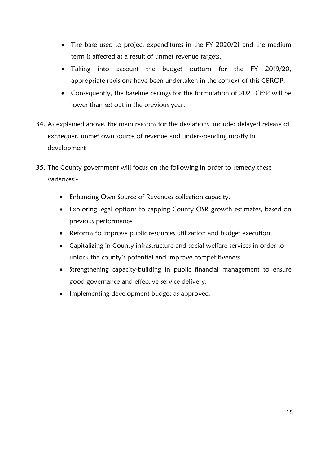- The base used to project expenditures in the FY 2020/21 and the medium term is affected as a result of unmet revenue targets.
- Taking into account the budget outturn for the FY 2019/20, appropriate revisions have been undertaken in the context of this CBROP.
- Consequently, the baseline ceilings for the formulation of 2021 CFSP will be lower than set out in the previous year.
- 34. As explained above, the main reasons for the deviations include: delayed release of exchequer, unmet own source of revenue and under-spending mostly in development
- 35. The County government will focus on the following in order to remedy these variances:-
	- Enhancing Own Source of Revenues collection capacity.
	- Exploring legal options to capping County OSR growth estimates, based on previous performance
	- Reforms to improve public resources utilization and budget execution.
	- Capitalizing in County infrastructure and social welfare services in order to unlock the county's potential and improve competitiveness.
	- Strengthening capacity-building in public financial management to ensure good governance and effective service delivery.
	- Implementing development budget as approved.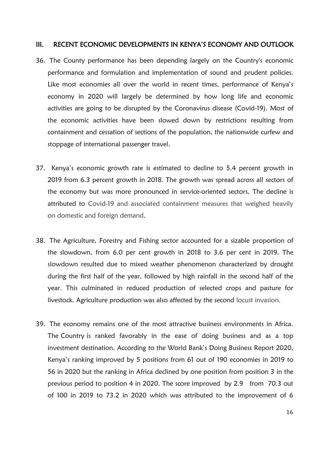#### <span id="page-24-0"></span>III. RECENT ECONOMIC DEVELOPMENTS IN KENYA'S ECONOMY AND OUTLOOK

- 36. The County performance has been depending largely on the Country's economic performance and formulation and implementation of sound and prudent policies. Like most economies all over the world in recent times, performance of Kenya's economy in 2020 will largely be determined by how long life and economic activities are going to be disrupted by the Coronavirus disease (Covid-19). Most of the economic activities have been slowed down by restrictions resulting from containment and cessation of sections of the population, the nationwide curfew and stoppage of international passenger travel.
- 37. Kenya's economic growth rate is estimated to decline to 5.4 percent growth in 2019 from 6.3 percent growth in 2018. The growth was spread across all sectors of the economy but was more pronounced in service-oriented sectors. The decline is attributed to Covid-19 and associated containment measures that weighed heavily on domestic and foreign demand.
- 38. The Agriculture, Forestry and Fishing sector accounted for a sizable proportion of the slowdown, from 6.0 per cent growth in 2018 to 3.6 per cent in 2019. The slowdown resulted due to mixed weather phenomenon characterized by drought during the first half of the year, followed by high rainfall in the second half of the year. This culminated in reduced production of selected crops and pasture for livestock. Agriculture production was also affected by the second locust invasion.
- 39. The economy remains one of the most attractive business environments in Africa. The Country is ranked favorably in the ease of doing business and as a top investment destination. According to the World Bank's Doing Business Report 2020, Kenya's ranking improved by 5 positions from 61 out of 190 economies in 2019 to 56 in 2020 but the ranking in Africa declined by one position from position 3 in the previous period to position 4 in 2020. The score improved by 2.9 from 70.3 out of 100 in 2019 to 73.2 in 2020 which was attributed to the improvement of 6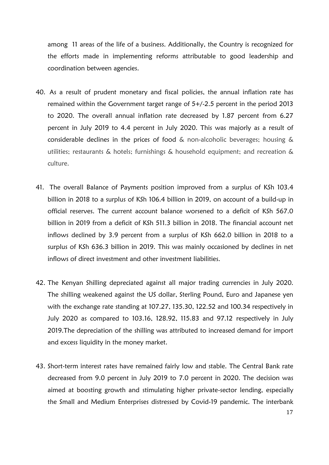among 11 areas of the life of a business. Additionally, the Country is recognized for the efforts made in implementing reforms attributable to good leadership and coordination between agencies.

- 40. As a result of prudent monetary and fiscal policies, the annual inflation rate has remained within the Government target range of 5+/-2.5 percent in the period 2013 to 2020. The overall annual inflation rate decreased by 1.87 percent from 6.27 percent in July 2019 to 4.4 percent in July 2020. This was majorly as a result of considerable declines in the prices of food & non-alcoholic beverages; housing & utilities; restaurants & hotels; furnishings & household equipment; and recreation & culture.
- 41. The overall Balance of Payments position improved from a surplus of KSh 103.4 billion in 2018 to a surplus of KSh 106.4 billion in 2019, on account of a build-up in official reserves. The current account balance worsened to a deficit of KSh 567.0 billion in 2019 from a deficit of KSh 511.3 billion in 2018. The financial account net inflows declined by 3.9 percent from a surplus of KSh 662.0 billion in 2018 to a surplus of KSh 636.3 billion in 2019. This was mainly occasioned by declines in net inflows of direct investment and other investment liabilities.
- 42. The Kenyan Shilling depreciated against all major trading currencies in July 2020. The shilling weakened against the US dollar, Sterling Pound, Euro and Japanese yen with the exchange rate standing at 107.27, 135.30, 122.52 and 100.34 respectively in July 2020 as compared to 103.16, 128.92, 115.83 and 97.12 respectively in July 2019.The depreciation of the shilling was attributed to increased demand for import and excess liquidity in the money market.
- 43. Short-term interest rates have remained fairly low and stable. The Central Bank rate decreased from 9.0 percent in July 2019 to 7.0 percent in 2020. The decision was aimed at boosting growth and stimulating higher private-sector lending, especially the Small and Medium Enterprises distressed by Covid-19 pandemic. The interbank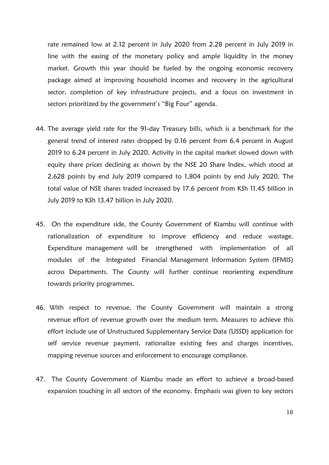rate remained low at 2.12 percent in July 2020 from 2.28 percent in July 2019 in line with the easing of the monetary policy and ample liquidity in the money market. Growth this year should be fueled by the ongoing economic recovery package aimed at improving household incomes and recovery in the agricultural sector, completion of key infrastructure projects, and a focus on investment in sectors prioritized by the government's "Big Four" agenda.

- 44. The average yield rate for the 91-day Treasury bills, which is a benchmark for the general trend of interest rates dropped by 0.16 percent from 6.4 percent in August 2019 to 6.24 percent in July 2020. Activity in the capital market slowed down with equity share prices declining as shown by the NSE 20 Share Index, which stood at 2,628 points by end July 2019 compared to 1,804 points by end July 2020. The total value of NSE shares traded increased by 17.6 percent from KSh 11.45 billion in July 2019 to KSh 13.47 billion in July 2020.
- 45. On the expenditure side, the County Government of Kiambu will continue with rationalization of expenditure to improve efficiency and reduce wastage. Expenditure management will be strengthened with implementation of all modules of the Integrated Financial Management Information System (IFMIS) across Departments. The County will further continue reorienting expenditure towards priority programmes.
- 46. With respect to revenue, the County Government will maintain a strong revenue effort of revenue growth over the medium term. Measures to achieve this effort include use of Unstructured Supplementary Service Data (USSD) application for self service revenue payment, rationalize existing fees and charges incentives, mapping revenue sources and enforcement to encourage compliance.
- 47. The County Government of Kiambu made an effort to achieve a broad-based expansion touching in all sectors of the economy. Emphasis was given to key sectors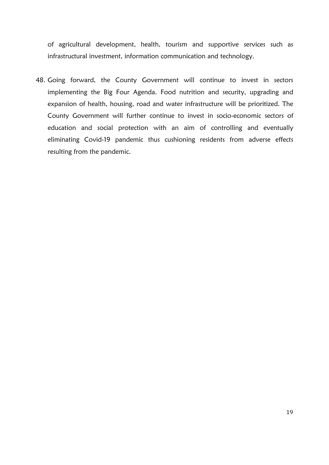of agricultural development, health, tourism and supportive services such as infrastructural investment, information communication and technology.

48. Going forward, the County Government will continue to invest in sectors implementing the Big Four Agenda. Food nutrition and security, upgrading and expansion of health, housing, road and water infrastructure will be prioritized. The County Government will further continue to invest in socio-economic sectors of education and social protection with an aim of controlling and eventually eliminating Covid-19 pandemic thus cushioning residents from adverse effects resulting from the pandemic.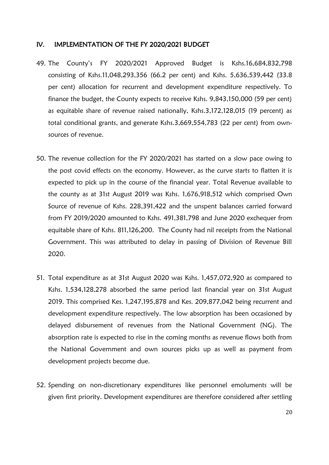#### <span id="page-28-0"></span>IV. IMPLEMENTATION OF THE FY 2020/2021 BUDGET

- 49. The County's FY 2020/2021 Approved Budget is Kshs.16,684,832,798 consisting of Kshs.11,048,293,356 (66.2 per cent) and Kshs. 5,636,539,442 (33.8 per cent) allocation for recurrent and development expenditure respectively. To finance the budget, the County expects to receive Kshs. 9,843,150,000 (59 per cent) as equitable share of revenue raised nationally, Kshs.3,172,128,015 (19 percent) as total conditional grants, and generate Kshs.3,669,554,783 (22 per cent) from ownsources of revenue.
- 50. The revenue collection for the FY 2020/2021 has started on a slow pace owing to the post covid effects on the economy. However, as the curve starts to flatten it is expected to pick up in the course of the financial year. Total Revenue available to the county as at 31st August 2019 was Kshs. 1,676,918,512 which comprised Own Source of revenue of Kshs. 228,391,422 and the unspent balances carried forward from FY 2019/2020 amounted to Kshs. 491,381,798 and June 2020 exchequer from equitable share of Kshs. 811,126,200. The County had nil receipts from the National Government. This was attributed to delay in passing of Division of Revenue Bill 2020.
- 51. Total expenditure as at 31st August 2020 was Kshs. 1,457,072,920 as compared to Kshs. 1,534,128,278 absorbed the same period last financial year on 31st August 2019. This comprised Kes. 1,247,195,878 and Kes. 209,877,042 being recurrent and development expenditure respectively. The low absorption has been occasioned by delayed disbursement of revenues from the National Government (NG). The absorption rate is expected to rise in the coming months as revenue flows both from the National Government and own sources picks up as well as payment from development projects become due.
- 52. Spending on non-discretionary expenditures like personnel emoluments will be given first priority. Development expenditures are therefore considered after settling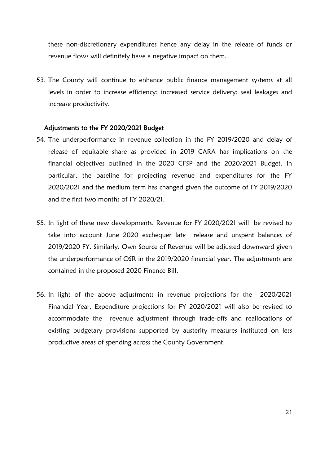these non-discretionary expenditures hence any delay in the release of funds or revenue flows will definitely have a negative impact on them.

53. The County will continue to enhance public finance management systems at all levels in order to increase efficiency; increased service delivery; seal leakages and increase productivity.

#### Adjustments to the FY 2020/2021 Budget

- 54. The underperformance in revenue collection in the FY 2019/2020 and delay of release of equitable share as provided in 2019 CARA has implications on the financial objectives outlined in the 2020 CFSP and the 2020/2021 Budget. In particular, the baseline for projecting revenue and expenditures for the FY 2020/2021 and the medium term has changed given the outcome of FY 2019/2020 and the first two months of FY 2020/21.
- 55. In light of these new developments, Revenue for FY 2020/2021 will be revised to take into account June 2020 exchequer late release and unspent balances of 2019/2020 FY. Similarly, Own Source of Revenue will be adjusted downward given the underperformance of OSR in the 2019/2020 financial year. The adjustments are contained in the proposed 2020 Finance Bill.
- 56. In light of the above adjustments in revenue projections for the 2020/2021 Financial Year, Expenditure projections for FY 2020/2021 will also be revised to accommodate the revenue adjustment through trade-offs and reallocations of existing budgetary provisions supported by austerity measures instituted on less productive areas of spending across the County Government.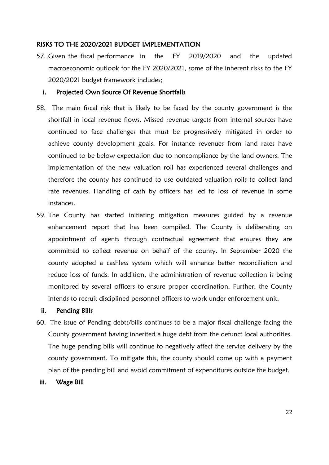#### RISKS TO THE 2020/2021 BUDGET IMPLEMENTATION

57. Given the fiscal performance in the FY 2019/2020 and the updated macroeconomic outlook for the FY 2020/2021, some of the inherent risks to the FY 2020/2021 budget framework includes;

#### i. Projected Own Source Of Revenue Shortfalls

- 58. The main fiscal risk that is likely to be faced by the county government is the shortfall in local revenue flows. Missed revenue targets from internal sources have continued to face challenges that must be progressively mitigated in order to achieve county development goals. For instance revenues from land rates have continued to be below expectation due to noncompliance by the land owners. The implementation of the new valuation roll has experienced several challenges and therefore the county has continued to use outdated valuation rolls to collect land rate revenues. Handling of cash by officers has led to loss of revenue in some instances.
- 59. The County has started initiating mitigation measures guided by a revenue enhancement report that has been compiled. The County is deliberating on appointment of agents through contractual agreement that ensures they are committed to collect revenue on behalf of the county. In September 2020 the county adopted a cashless system which will enhance better reconciliation and reduce loss of funds. In addition, the administration of revenue collection is being monitored by several officers to ensure proper coordination. Further, the County intends to recruit disciplined personnel officers to work under enforcement unit.

#### ii. Pending Bills

- 60. The issue of Pending debts/bills continues to be a major fiscal challenge facing the County government having inherited a huge debt from the defunct local authorities. The huge pending bills will continue to negatively affect the service delivery by the county government. To mitigate this, the county should come up with a payment plan of the pending bill and avoid commitment of expenditures outside the budget.
- iii. Wage Bill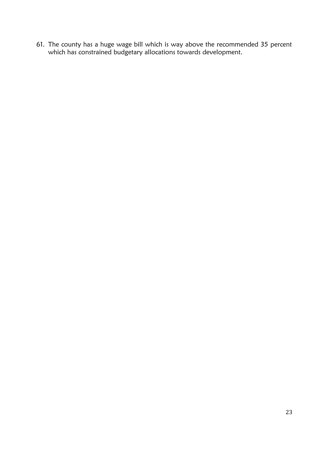61. The county has a huge wage bill which is way above the recommended 35 percent which has constrained budgetary allocations towards development.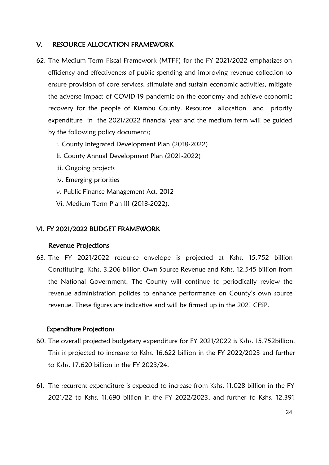#### <span id="page-32-0"></span>V. RESOURCE ALLOCATION FRAMEWORK

- 62. The Medium Term Fiscal Framework (MTFF) for the FY 2021/2022 emphasizes on efficiency and effectiveness of public spending and improving revenue collection to ensure provision of core services, stimulate and sustain economic activities, mitigate the adverse impact of COVID-19 pandemic on the economy and achieve economic recovery for the people of Kiambu County. Resource allocation and priority expenditure in the 2021/2022 financial year and the medium term will be guided by the following policy documents;
	- i. County Integrated Development Plan (2018-2022)
	- Ii. County Annual Development Plan (2021-2022)
	- iii. Ongoing projects
	- iv. Emerging priorities
	- v. Public Finance Management Act, 2012
	- Vi. Medium Term Plan III (2018-2022).

#### <span id="page-32-1"></span>VI. FY 2021/2022 BUDGET FRAMEWORK

#### Revenue Projections

63. The FY 2021/2022 resource envelope is projected at Kshs. 15.752 billion Constituting: Kshs. 3.206 billion Own Source Revenue and Kshs. 12.545 billion from the National Government. The County will continue to periodically review the revenue administration policies to enhance performance on County's own source revenue. These figures are indicative and will be firmed up in the 2021 CFSP.

#### Expenditure Projections

- 60. The overall projected budgetary expenditure for FY 2021/2022 is Kshs. 15.752billion. This is projected to increase to Kshs. 16.622 billion in the FY 2022/2023 and further to Kshs. 17.620 billion in the FY 2023/24.
- 61. The recurrent expenditure is expected to increase from Kshs. 11.028 billion in the FY 2021/22 to Kshs. 11.690 billion in the FY 2022/2023, and further to Kshs. 12.391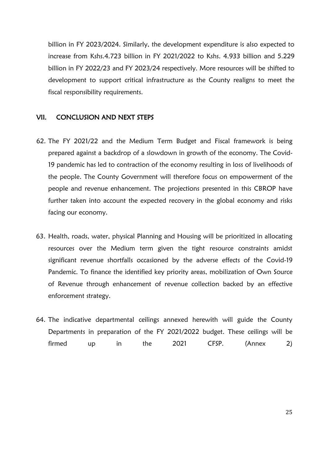billion in FY 2023/2024. Similarly, the development expenditure is also expected to increase from Kshs.4.723 billion in FY 2021/2022 to Kshs. 4.933 billion and 5.229 billion in FY 2022/23 and FY 2023/24 respectively. More resources will be shifted to development to support critical infrastructure as the County realigns to meet the fiscal responsibility requirements.

#### <span id="page-33-0"></span>VII. CONCLUSION AND NEXT STEPS

- 62. The FY 2021/22 and the Medium Term Budget and Fiscal framework is being prepared against a backdrop of a slowdown in growth of the economy. The Covid-19 pandemic has led to contraction of the economy resulting in loss of livelihoods of the people. The County Government will therefore focus on empowerment of the people and revenue enhancement. The projections presented in this CBROP have further taken into account the expected recovery in the global economy and risks facing our economy.
- 63. Health, roads, water, physical Planning and Housing will be prioritized in allocating resources over the Medium term given the tight resource constraints amidst significant revenue shortfalls occasioned by the adverse effects of the Covid-19 Pandemic. To finance the identified key priority areas, mobilization of Own Source of Revenue through enhancement of revenue collection backed by an effective enforcement strategy.
- 64. The indicative departmental ceilings annexed herewith will guide the County Departments in preparation of the FY 2021/2022 budget. These ceilings will be firmed up in the 2021 CFSP. (Annex 2)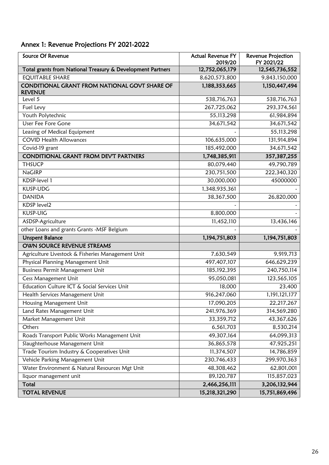# <span id="page-34-0"></span>Annex 1: Revenue Projections FY 2021-2022

| <b>Source Of Revenue</b>                                        | <b>Actual Revenue FY</b><br>2019/20 | <b>Revenue Projection</b><br>FY 2021/22 |
|-----------------------------------------------------------------|-------------------------------------|-----------------------------------------|
| Total grants from National Treasury & Development Partners      | 12,752,065,179                      | 12,545,736,552                          |
| <b>EQUITABLE SHARE</b>                                          | 8,620,573,800                       | 9,843,150,000                           |
| CONDITIONAL GRANT FROM NATIONAL GOVT SHARE OF<br><b>REVENUE</b> | 1,188,353,665                       | 1,150,447,494                           |
| Level 5                                                         | 538,716,763                         | 538,716,763                             |
| Fuel Levy                                                       | 267,725,062                         | 293,374,561                             |
| Youth Polytechnic                                               | 55,113,298                          | 61,984,894                              |
| User Fee Fore Gone                                              | 34,671,542                          | 34,671,542                              |
| Leasing of Medical Equipment                                    |                                     | 55,113,298                              |
| <b>COVID Health Allowances</b>                                  | 106,635,000                         | 131,914,894                             |
| Covid-19 grant                                                  | 185,492,000                         | 34,671,542                              |
| <b>CONDITIONAL GRANT FROM DEV'T PARTNERS</b>                    | 1,748,385,911                       | 357,387,255                             |
| <b>THSUCP</b>                                                   | 80,079,440                          | 49,790,789                              |
| <b>NaGIRP</b>                                                   | 230,751,500                         | 222,340,320                             |
| KDSP-level 1                                                    | 30,000,000                          | 45000000                                |
| KUSP-UDG                                                        | 1,348,935,361                       |                                         |
| <b>DANIDA</b>                                                   | 38,367,500                          | 26,820,000                              |
| KDSP level2                                                     |                                     |                                         |
| KUSP-UIG                                                        | 8,800,000                           |                                         |
| ASDSP-Agriculture                                               | 11,452,110                          | 13,436,146                              |
| other Loans and grants Grants -MSF Belgium                      |                                     |                                         |
| <b>Unspent Balance</b>                                          | 1,194,751,803                       | 1,194,751,803                           |
| OWN SOURCE REVENUE STREAMS                                      |                                     |                                         |
| Agriculture Livestock & Fisheries Management Unit               | 7,630,549                           | 9,919,713                               |
| Physical Planning Management Unit                               | 497,407,107                         | 646,629,239                             |
| Business Permit Management Unit                                 | 185, 192, 395                       | 240,750,114                             |
| Cess Management Unit                                            | 95,050,081                          | 123,565,105                             |
| Education Culture ICT & Social Services Unit                    | 18,000                              | 23,400                                  |
| Health Services Management Unit                                 | 916,247,060                         | 1,191,121,177                           |
| Housing Management Unit                                         | 17,090,205                          | 22,217,267                              |
| Land Rates Management Unit                                      | 241,976,369                         | 314,569,280                             |
| Market Management Unit                                          | 33,359,712                          | 43,367,626                              |
| Others                                                          | 6,561,703                           | 8,530,214                               |
| Roads Transport Public Works Management Unit                    | 49,307,164                          | 64,099,313                              |
| Slaughterhouse Management Unit                                  | 36,865,578                          | 47,925,251                              |
| Trade Tourism Industry & Cooperatives Unit                      | 11,374,507                          | 14,786,859                              |
| Vehicle Parking Management Unit                                 | 230,746,433                         | 299,970,363                             |
| Water Environment & Natural Resources Mgt Unit                  | 48,308,462                          | 62,801,001                              |
| liquor management unit                                          | 89,120,787                          | 115,857,023                             |
| Total                                                           | 2,466,256,111                       | 3,206,132,944                           |
| <b>TOTAL REVENUE</b>                                            | 15,218,321,290                      | 15,751,869,496                          |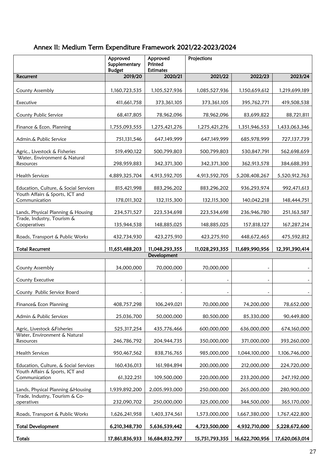# <span id="page-35-0"></span>Annex II: Medium Term Expenditure Framework 2021/22-2023/2024

|                                                  | Approved<br>Supplementary<br><b>Budget</b> | Approved<br>Printed<br><b>Estimates</b> | Projections    |                |                |
|--------------------------------------------------|--------------------------------------------|-----------------------------------------|----------------|----------------|----------------|
| Recurrent                                        | 2019/20                                    | 2020/21                                 | 2021/22        | 2022/23        | 2023/24        |
| County Assembly                                  | 1,160,723,535                              | 1,105,527,936                           | 1,085,527,936  | 1,150,659,612  | 1,219,699,189  |
| Executive                                        | 411,661,758                                | 373, 361, 105                           | 373, 361, 105  | 395,762,771    | 419,508,538    |
| County Public Service                            | 68,417,805                                 | 78,962,096                              | 78,962,096     | 83,699,822     | 88,721,811     |
| Finance & Econ. Planning                         | 1,755,093,555                              | 1,275,421,276                           | 1,275,421,276  | 1,351,946,553  | 1,433,063,346  |
| Admin.& Public Service                           | 751,131,546                                | 647,149,999                             | 647,149,999    | 685,978,999    | 727,137,739    |
| Agric., Livestock & Fisheries                    | 519,490,122                                | 500,799,803                             | 500,799,803    | 530,847,791    | 562,698,659    |
| Water, Environment & Natural<br>Resources        | 298,959,883                                | 342,371,300                             | 342,371,300    | 362,913,578    | 384,688,393    |
| Health Services                                  | 4,889,325,704                              | 4,913,592,705                           | 4,913,592,705  | 5,208,408,267  | 5,520,912,763  |
| Education, Culture, & Social Services            | 815,421,998                                | 883,296,202                             | 883,296,202    | 936,293,974    | 992,471,613    |
| Youth Affairs & Sports, ICT and<br>Communication | 178,011,302                                | 132,115,300                             | 132,115,300    | 140,042,218    | 148,444,751    |
| Lands, Physical Planning & Housing               | 234,571,527                                | 223,534,698                             | 223,534,698    | 236,946,780    | 251, 163, 587  |
| Trade, Industry, Tourism &<br>Cooperatives       | 135,944,538                                | 148,885,025                             | 148,885,025    | 157,818,127    | 167,287,214    |
| Roads, Transport & Public Works                  | 432,734,930                                | 423,275,910                             | 423,275,910    | 448,672,465    | 475,592,812    |
| <b>Total Recurrent</b>                           | 11,651,488,203                             | 11,048,293,355                          | 11,028,293,355 | 11,689,990,956 | 12,391,390,414 |
|                                                  |                                            | Development                             |                |                |                |
| County Assembly                                  | 34,000,000                                 | 70,000,000                              | 70,000,000     |                |                |
| County Executive                                 |                                            |                                         |                |                |                |
| County Public Service Board                      |                                            |                                         |                |                |                |
| Finance& Econ Planning                           | 408,757,298                                | 106,249,021                             | 70,000,000     | 74,200,000     | 78,652,000     |
| Admin & Public Services                          | 25,036,700                                 | 50,000,000                              | 80,500,000     | 85,330,000     | 90,449,800     |
| Agric, Livestock & Fisheries                     | 525, 317, 254                              | 435,776,466                             | 600,000,000    | 636,000,000    | 674,160,000    |
| Water, Environment & Natural<br>Resources        | 246,786,792                                | 204,944,735                             | 350,000,000    | 371,000,000    | 393,260,000    |
| <b>Health Services</b>                           | 950, 467, 562                              | 838,716,765                             | 985,000,000    | 1,044,100,000  | 1,106,746,000  |
| Education, Culture, & Social Services            | 160,436,013                                | 161,984,894                             | 200,000,000    | 212,000,000    | 224,720,000    |
| Youth Affairs & Sports, ICT and<br>Communication | 61,322,251                                 | 109,500,000                             | 220,000,000    | 233,200,000    | 247,192,000    |
| Lands, Physical Planning & Housing               | 1,939,892,200                              | 2,005,993,000                           | 250,000,000    | 265,000,000    | 280,900,000    |
| Trade, Industry, Tourism & Co-<br>operatives     | 232,090,702                                | 250,000,000                             | 325,000,000    | 344,500,000    | 365,170,000    |
| Roads, Transport & Public Works                  | 1,626,241,958                              | 1,403,374,561                           | 1,573,000,000  | 1,667,380,000  | 1,767,422,800  |
| <b>Total Development</b>                         | 6,210,348,730                              | 5,636,539,442                           | 4,723,500,000  | 4,932,710,000  | 5,228,672,600  |
| Totals                                           | 17,861,836,933                             | 16,684,832,797                          | 15,751,793,355 | 16,622,700,956 | 17,620,063,014 |